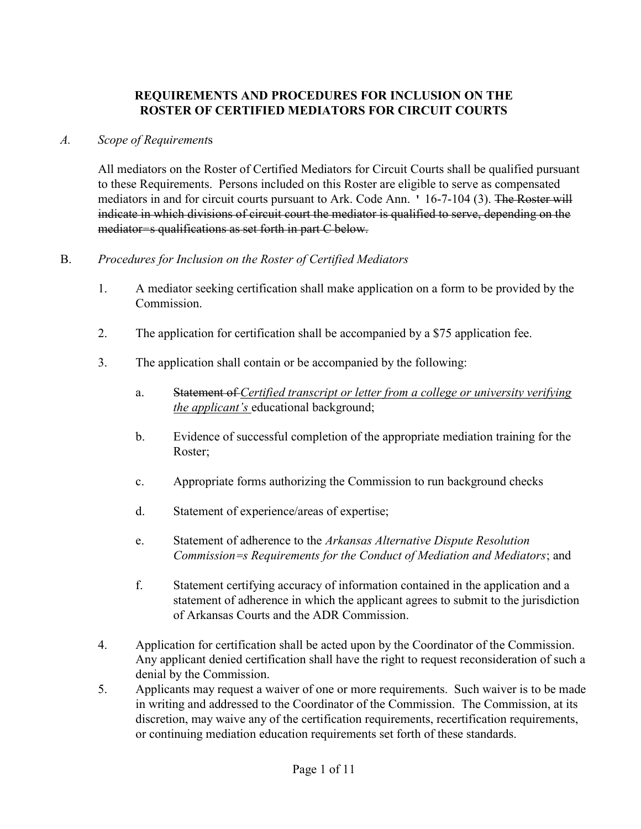# REQUIREMENTS AND PROCEDURES FOR INCLUSION ON THE ROSTER OF CERTIFIED MEDIATORS FOR CIRCUIT COURTS

#### A. Scope of Requirements

All mediators on the Roster of Certified Mediators for Circuit Courts shall be qualified pursuant to these Requirements. Persons included on this Roster are eligible to serve as compensated mediators in and for circuit courts pursuant to Ark. Code Ann. ' 16-7-104 (3). The Roster will indicate in which divisions of circuit court the mediator is qualified to serve, depending on the mediator=s qualifications as set forth in part C below.

### B. Procedures for Inclusion on the Roster of Certified Mediators

- 1. A mediator seeking certification shall make application on a form to be provided by the Commission.
- 2. The application for certification shall be accompanied by a \$75 application fee.
- 3. The application shall contain or be accompanied by the following:
	- a. Statement of Certified transcript or letter from a college or university verifying the applicant's educational background;
	- b. Evidence of successful completion of the appropriate mediation training for the Roster;
	- c. Appropriate forms authorizing the Commission to run background checks
	- d. Statement of experience/areas of expertise;
	- e. Statement of adherence to the Arkansas Alternative Dispute Resolution Commission=s Requirements for the Conduct of Mediation and Mediators; and
	- f. Statement certifying accuracy of information contained in the application and a statement of adherence in which the applicant agrees to submit to the jurisdiction of Arkansas Courts and the ADR Commission.
- 4. Application for certification shall be acted upon by the Coordinator of the Commission. Any applicant denied certification shall have the right to request reconsideration of such a denial by the Commission.
- 5. Applicants may request a waiver of one or more requirements. Such waiver is to be made in writing and addressed to the Coordinator of the Commission. The Commission, at its discretion, may waive any of the certification requirements, recertification requirements, or continuing mediation education requirements set forth of these standards.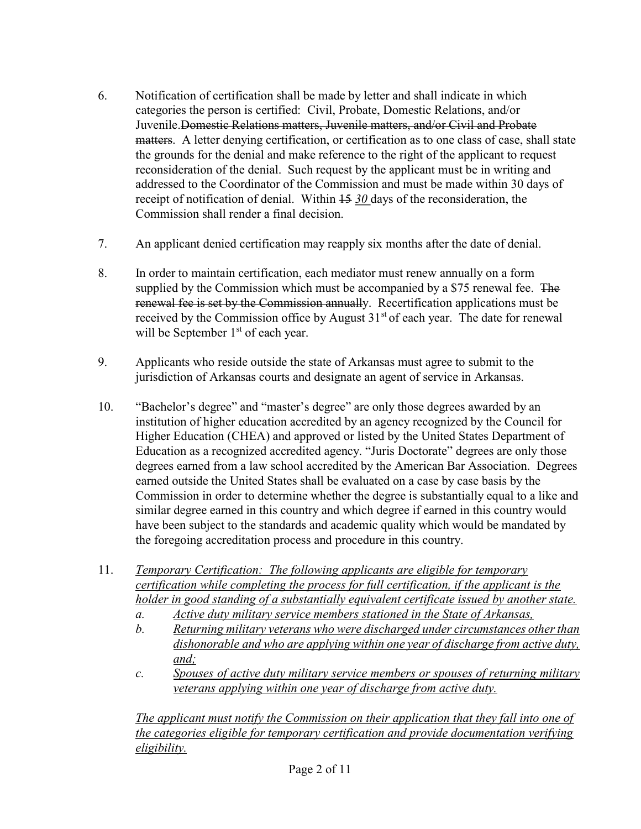- 6. Notification of certification shall be made by letter and shall indicate in which categories the person is certified: Civil, Probate, Domestic Relations, and/or Juvenile. Domestic Relations matters, Juvenile matters, and/or Civil and Probate matters. A letter denying certification, or certification as to one class of case, shall state the grounds for the denial and make reference to the right of the applicant to request reconsideration of the denial. Such request by the applicant must be in writing and addressed to the Coordinator of the Commission and must be made within 30 days of receipt of notification of denial. Within  $15 \frac{30}{9}$  days of the reconsideration, the Commission shall render a final decision.
- 7. An applicant denied certification may reapply six months after the date of denial.
- 8. In order to maintain certification, each mediator must renew annually on a form supplied by the Commission which must be accompanied by a \$75 renewal fee. The renewal fee is set by the Commission annually. Recertification applications must be received by the Commission office by August  $31<sup>st</sup>$  of each year. The date for renewal will be September  $1<sup>st</sup>$  of each year.
- 9. Applicants who reside outside the state of Arkansas must agree to submit to the jurisdiction of Arkansas courts and designate an agent of service in Arkansas.
- 10. "Bachelor's degree" and "master's degree" are only those degrees awarded by an institution of higher education accredited by an agency recognized by the Council for Higher Education (CHEA) and approved or listed by the United States Department of Education as a recognized accredited agency. "Juris Doctorate" degrees are only those degrees earned from a law school accredited by the American Bar Association. Degrees earned outside the United States shall be evaluated on a case by case basis by the Commission in order to determine whether the degree is substantially equal to a like and similar degree earned in this country and which degree if earned in this country would have been subject to the standards and academic quality which would be mandated by the foregoing accreditation process and procedure in this country.
- 11. Temporary Certification: The following applicants are eligible for temporary certification while completing the process for full certification, if the applicant is the holder in good standing of a substantially equivalent certificate issued by another state.
	- a. Active duty military service members stationed in the State of Arkansas,
	- b. Returning military veterans who were discharged under circumstances other than dishonorable and who are applying within one year of discharge from active duty, and;
	- c. Spouses of active duty military service members or spouses of returning military veterans applying within one year of discharge from active duty.

The applicant must notify the Commission on their application that they fall into one of the categories eligible for temporary certification and provide documentation verifying eligibility.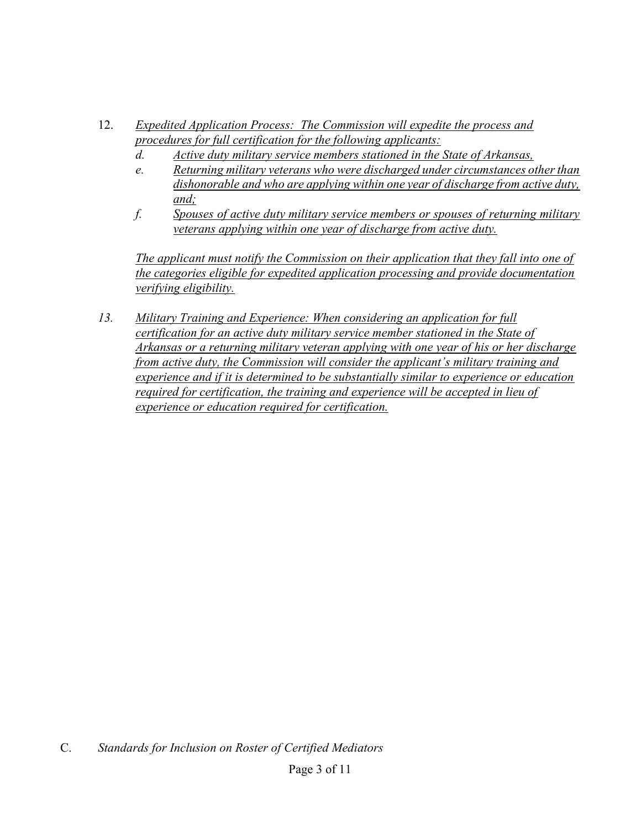- 12. Expedited Application Process: The Commission will expedite the process and procedures for full certification for the following applicants:
	- d. Active duty military service members stationed in the State of Arkansas,
	- e. Returning military veterans who were discharged under circumstances other than dishonorable and who are applying within one year of discharge from active duty, and;
	- f. Spouses of active duty military service members or spouses of returning military veterans applying within one year of discharge from active duty.

The applicant must notify the Commission on their application that they fall into one of the categories eligible for expedited application processing and provide documentation verifying eligibility.

13. Military Training and Experience: When considering an application for full certification for an active duty military service member stationed in the State of Arkansas or a returning military veteran applying with one year of his or her discharge from active duty, the Commission will consider the applicant's military training and experience and if it is determined to be substantially similar to experience or education required for certification, the training and experience will be accepted in lieu of experience or education required for certification.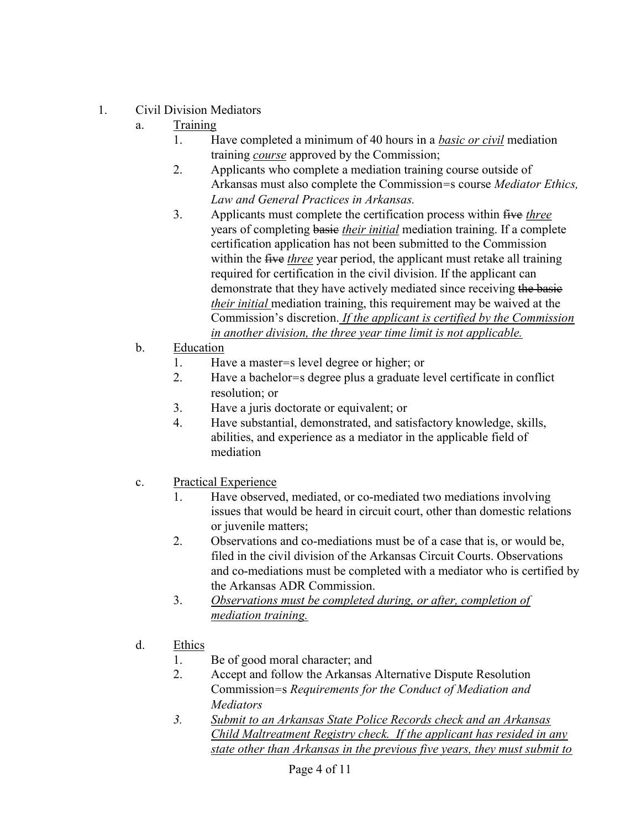- 1. Civil Division Mediators
	- a. Training
		- 1. Have completed a minimum of 40 hours in a basic or civil mediation training *course* approved by the Commission;
		- 2. Applicants who complete a mediation training course outside of Arkansas must also complete the Commission=s course Mediator Ethics, Law and General Practices in Arkansas.
		- 3. Applicants must complete the certification process within five three years of completing basie their initial mediation training. If a complete certification application has not been submitted to the Commission within the five three year period, the applicant must retake all training required for certification in the civil division. If the applicant can demonstrate that they have actively mediated since receiving the basie their initial mediation training, this requirement may be waived at the Commission's discretion. If the applicant is certified by the Commission in another division, the three year time limit is not applicable.
	- b. Education
		- 1. Have a master=s level degree or higher; or
		- 2. Have a bachelor=s degree plus a graduate level certificate in conflict resolution; or
		- 3. Have a juris doctorate or equivalent; or
		- 4. Have substantial, demonstrated, and satisfactory knowledge, skills, abilities, and experience as a mediator in the applicable field of mediation
	- c. Practical Experience
		- 1. Have observed, mediated, or co-mediated two mediations involving issues that would be heard in circuit court, other than domestic relations or juvenile matters;
		- 2. Observations and co-mediations must be of a case that is, or would be, filed in the civil division of the Arkansas Circuit Courts. Observations and co-mediations must be completed with a mediator who is certified by the Arkansas ADR Commission.
		- 3. Observations must be completed during, or after, completion of mediation training.
	- d. Ethics
		- 1. Be of good moral character; and
		- 2. Accept and follow the Arkansas Alternative Dispute Resolution Commission=s Requirements for the Conduct of Mediation and Mediators
		- 3. Submit to an Arkansas State Police Records check and an Arkansas Child Maltreatment Registry check. If the applicant has resided in any state other than Arkansas in the previous five years, they must submit to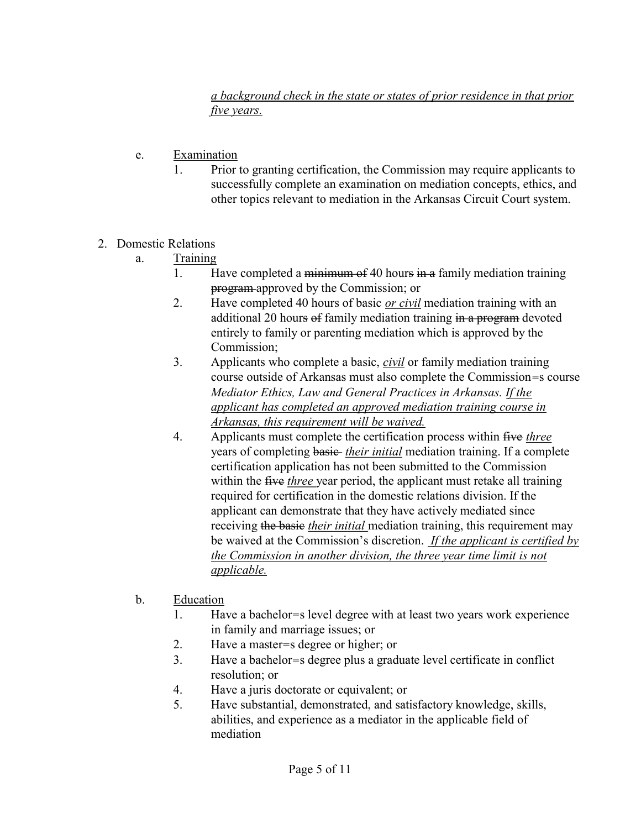a background check in the state or states of prior residence in that prior five years.

- e. Examination
	- 1. Prior to granting certification, the Commission may require applicants to successfully complete an examination on mediation concepts, ethics, and other topics relevant to mediation in the Arkansas Circuit Court system.
- 2. Domestic Relations
	- a. Training
		- 1. Have completed a minimum of 40 hours in a family mediation training program approved by the Commission; or
		- 2. Have completed 40 hours of basic *or civil* mediation training with an additional 20 hours of family mediation training in a program devoted entirely to family or parenting mediation which is approved by the Commission;
		- 3. Applicants who complete a basic, *civil* or family mediation training course outside of Arkansas must also complete the Commission=s course Mediator Ethics, Law and General Practices in Arkansas. If the applicant has completed an approved mediation training course in Arkansas, this requirement will be waived.
		- 4. Applicants must complete the certification process within five three years of completing basic their initial mediation training. If a complete certification application has not been submitted to the Commission within the five three year period, the applicant must retake all training required for certification in the domestic relations division. If the applicant can demonstrate that they have actively mediated since receiving the basic their initial mediation training, this requirement may be waived at the Commission's discretion. If the applicant is certified by the Commission in another division, the three year time limit is not applicable.
	- b. Education
		- 1. Have a bachelor=s level degree with at least two years work experience in family and marriage issues; or
		- 2. Have a master=s degree or higher; or
		- 3. Have a bachelor=s degree plus a graduate level certificate in conflict resolution; or
		- 4. Have a juris doctorate or equivalent; or
		- 5. Have substantial, demonstrated, and satisfactory knowledge, skills, abilities, and experience as a mediator in the applicable field of mediation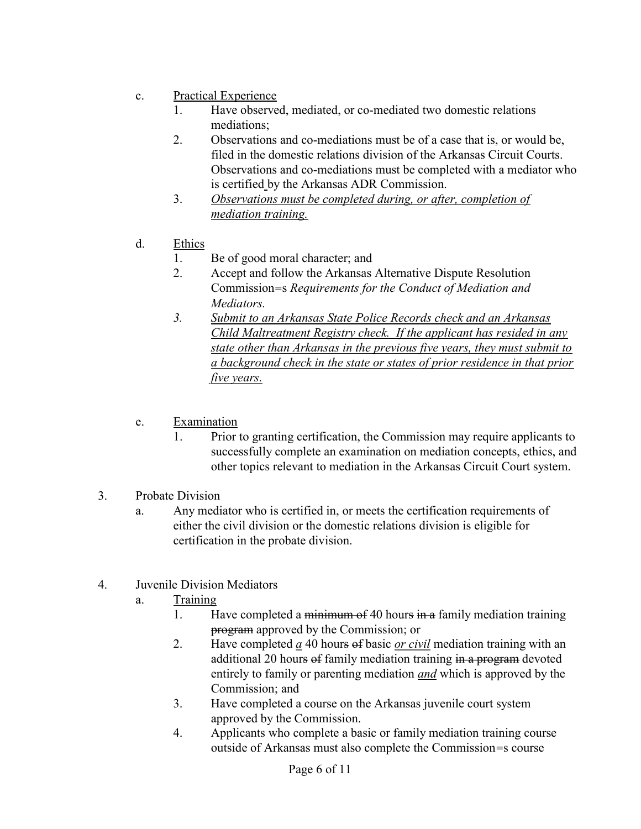- c. Practical Experience
	- 1. Have observed, mediated, or co-mediated two domestic relations mediations;
	- 2. Observations and co-mediations must be of a case that is, or would be, filed in the domestic relations division of the Arkansas Circuit Courts. Observations and co-mediations must be completed with a mediator who is certified by the Arkansas ADR Commission.
	- 3. Observations must be completed during, or after, completion of mediation training.
- d. Ethics
	- 1. Be of good moral character; and
	- 2. Accept and follow the Arkansas Alternative Dispute Resolution Commission=s Requirements for the Conduct of Mediation and Mediators.
	- 3. Submit to an Arkansas State Police Records check and an Arkansas Child Maltreatment Registry check. If the applicant has resided in any state other than Arkansas in the previous five years, they must submit to a background check in the state or states of prior residence in that prior five years.
- e. Examination
	- 1. Prior to granting certification, the Commission may require applicants to successfully complete an examination on mediation concepts, ethics, and other topics relevant to mediation in the Arkansas Circuit Court system.
- 3. Probate Division
	- a. Any mediator who is certified in, or meets the certification requirements of either the civil division or the domestic relations division is eligible for certification in the probate division.
- 4. Juvenile Division Mediators
	- a. Training
		- 1. Have completed a minimum of 40 hours in a family mediation training program approved by the Commission; or
		- 2. Have completed  $\underline{a}$  40 hours of basic <u>or civil</u> mediation training with an additional 20 hours of family mediation training in a program devoted entirely to family or parenting mediation and which is approved by the Commission; and
		- 3. Have completed a course on the Arkansas juvenile court system approved by the Commission.
		- 4. Applicants who complete a basic or family mediation training course outside of Arkansas must also complete the Commission=s course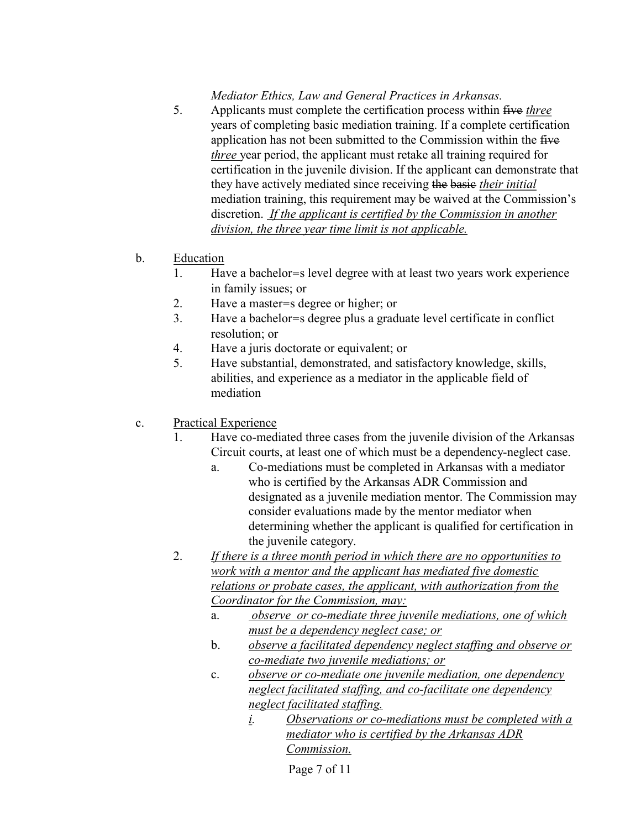## Mediator Ethics, Law and General Practices in Arkansas.

- 5. Applicants must complete the certification process within five *three* years of completing basic mediation training. If a complete certification application has not been submitted to the Commission within the five three year period, the applicant must retake all training required for certification in the juvenile division. If the applicant can demonstrate that they have actively mediated since receiving the basic their initial mediation training, this requirement may be waived at the Commission's discretion. If the applicant is certified by the Commission in another division, the three year time limit is not applicable.
- b. Education
	- 1. Have a bachelor=s level degree with at least two years work experience in family issues; or
	- 2. Have a master=s degree or higher; or
	- 3. Have a bachelor=s degree plus a graduate level certificate in conflict resolution; or
	- 4. Have a juris doctorate or equivalent; or
	- 5. Have substantial, demonstrated, and satisfactory knowledge, skills, abilities, and experience as a mediator in the applicable field of mediation
- c. Practical Experience
	- 1. Have co-mediated three cases from the juvenile division of the Arkansas Circuit courts, at least one of which must be a dependency-neglect case.
		- a. Co-mediations must be completed in Arkansas with a mediator who is certified by the Arkansas ADR Commission and designated as a juvenile mediation mentor. The Commission may consider evaluations made by the mentor mediator when determining whether the applicant is qualified for certification in the juvenile category.
	- 2. If there is a three month period in which there are no opportunities to work with a mentor and the applicant has mediated five domestic relations or probate cases, the applicant, with authorization from the Coordinator for the Commission, may:
		- a. observe or co-mediate three juvenile mediations, one of which must be a dependency neglect case; or
		- b. observe a facilitated dependency neglect staffing and observe or co-mediate two juvenile mediations; or
		- c. observe or co-mediate one juvenile mediation, one dependency neglect facilitated staffing, and co-facilitate one dependency neglect facilitated staffing.
			- i. Observations or co-mediations must be completed with a mediator who is certified by the Arkansas ADR Commission.

Page 7 of 11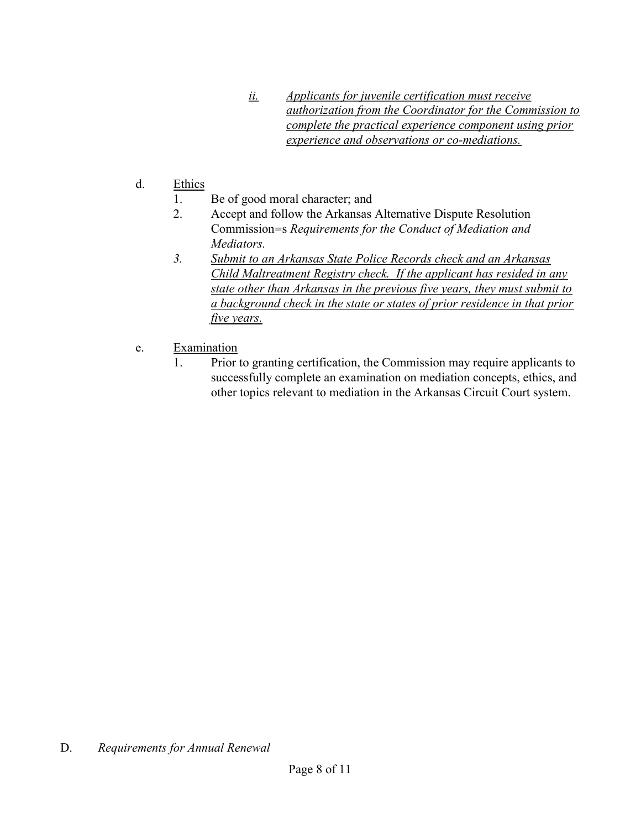- ii. Applicants for juvenile certification must receive authorization from the Coordinator for the Commission to complete the practical experience component using prior experience and observations or co-mediations.
- d. Ethics
	- 1. Be of good moral character; and
	- 2. Accept and follow the Arkansas Alternative Dispute Resolution Commission=s Requirements for the Conduct of Mediation and Mediators.
	- 3. Submit to an Arkansas State Police Records check and an Arkansas Child Maltreatment Registry check. If the applicant has resided in any state other than Arkansas in the previous five years, they must submit to a background check in the state or states of prior residence in that prior five years.
- e. Examination
	- 1. Prior to granting certification, the Commission may require applicants to successfully complete an examination on mediation concepts, ethics, and other topics relevant to mediation in the Arkansas Circuit Court system.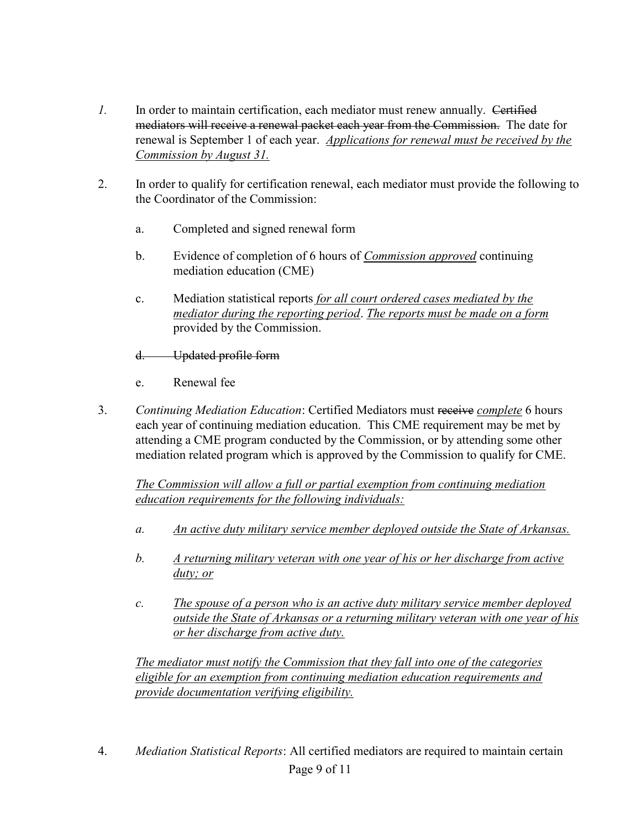- 1. In order to maintain certification, each mediator must renew annually. Certified mediators will receive a renewal packet each year from the Commission. The date for renewal is September 1 of each year. Applications for renewal must be received by the Commission by August 31.
- 2. In order to qualify for certification renewal, each mediator must provide the following to the Coordinator of the Commission:
	- a. Completed and signed renewal form
	- b. Evidence of completion of 6 hours of Commission approved continuing mediation education (CME)
	- c. Mediation statistical reports for all court ordered cases mediated by the mediator during the reporting period. The reports must be made on a form provided by the Commission.

### d. Updated profile form

- e. Renewal fee
- 3. Continuing Mediation Education: Certified Mediators must receive complete 6 hours each year of continuing mediation education. This CME requirement may be met by attending a CME program conducted by the Commission, or by attending some other mediation related program which is approved by the Commission to qualify for CME.

The Commission will allow a full or partial exemption from continuing mediation education requirements for the following individuals:

- a. An active duty military service member deployed outside the State of Arkansas.
- b. A returning military veteran with one year of his or her discharge from active duty; or
- c. The spouse of a person who is an active duty military service member deployed outside the State of Arkansas or a returning military veteran with one year of his or her discharge from active duty.

The mediator must notify the Commission that they fall into one of the categories eligible for an exemption from continuing mediation education requirements and provide documentation verifying eligibility.

Page 9 of 11 4. Mediation Statistical Reports: All certified mediators are required to maintain certain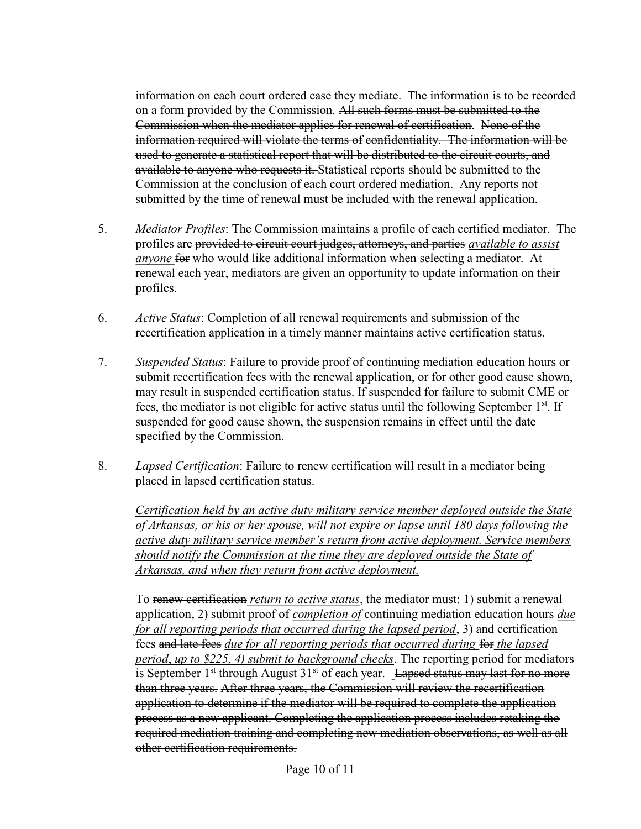information on each court ordered case they mediate. The information is to be recorded on a form provided by the Commission. All such forms must be submitted to the Commission when the mediator applies for renewal of certification. None of the information required will violate the terms of confidentiality. The information will be used to generate a statistical report that will be distributed to the circuit courts, and available to anyone who requests it. Statistical reports should be submitted to the Commission at the conclusion of each court ordered mediation. Any reports not submitted by the time of renewal must be included with the renewal application.

- 5. Mediator Profiles: The Commission maintains a profile of each certified mediator. The profiles are provided to circuit court judges, attorneys, and parties *available to assist* anyone for who would like additional information when selecting a mediator. At renewal each year, mediators are given an opportunity to update information on their profiles.
- 6. Active Status: Completion of all renewal requirements and submission of the recertification application in a timely manner maintains active certification status.
- 7. Suspended Status: Failure to provide proof of continuing mediation education hours or submit recertification fees with the renewal application, or for other good cause shown, may result in suspended certification status. If suspended for failure to submit CME or fees, the mediator is not eligible for active status until the following September 1<sup>st</sup>. If suspended for good cause shown, the suspension remains in effect until the date specified by the Commission.
- 8. Lapsed Certification: Failure to renew certification will result in a mediator being placed in lapsed certification status.

Certification held by an active duty military service member deployed outside the State of Arkansas, or his or her spouse, will not expire or lapse until 180 days following the active duty military service member's return from active deployment. Service members should notify the Commission at the time they are deployed outside the State of Arkansas, and when they return from active deployment.

To renew certification *return to active status*, the mediator must: 1) submit a renewal application, 2) submit proof of *completion of* continuing mediation education hours  $due$ for all reporting periods that occurred during the lapsed period, 3) and certification fees and late fees due for all reporting periods that occurred during for the lapsed period, up to \$225, 4) submit to background checks. The reporting period for mediators is September  $1<sup>st</sup>$  through August  $31<sup>st</sup>$  of each year. Lapsed status may last for no more than three years. After three years, the Commission will review the recertification application to determine if the mediator will be required to complete the application process as a new applicant. Completing the application process includes retaking the required mediation training and completing new mediation observations, as well as all other certification requirements.